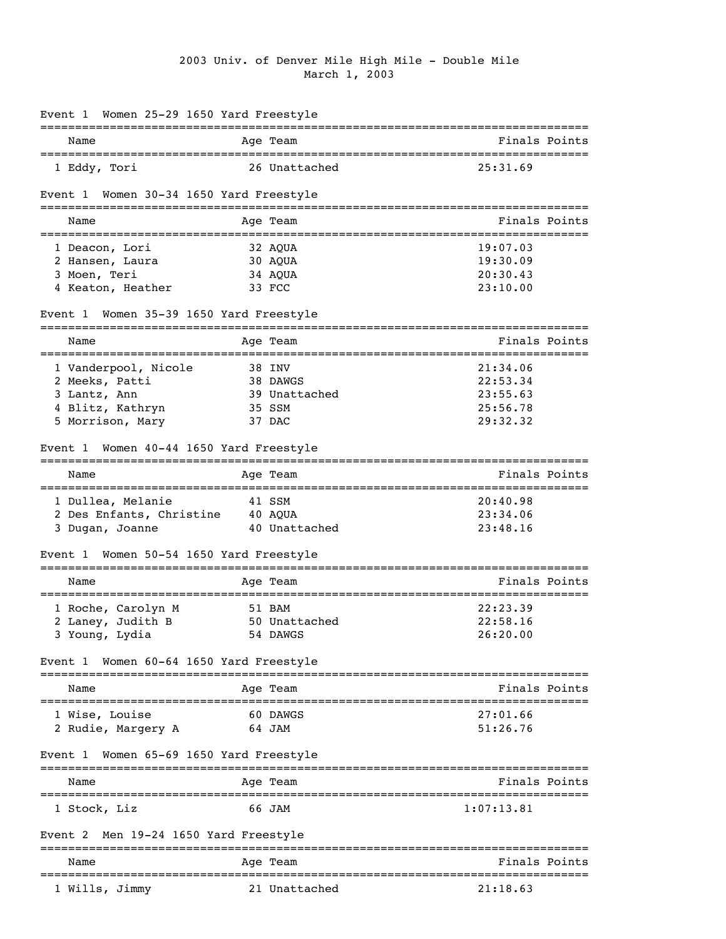## 2003 Univ. of Denver Mile High Mile - Double Mile March 1, 2003

| Event 1 Women 25-29 1650 Yard Freestyle             |                                                 |                                                |
|-----------------------------------------------------|-------------------------------------------------|------------------------------------------------|
| Name                                                | Age Team                                        | Finals Points                                  |
| 1 Eddy, Tori                                        | 26 Unattached                                   | 25:31.69                                       |
| Event 1 Women 30-34 1650 Yard Freestyle             |                                                 |                                                |
| Name                                                | Age Team                                        | Finals Points                                  |
| 1 Deacon, Lori                                      | 32 AQUA                                         | 19:07.03                                       |
| 2 Hansen, Laura                                     | 30 AQUA                                         | 19:30.09                                       |
| 3 Moen, Teri                                        | 34 AQUA                                         | 20:30.43                                       |
| 4 Keaton, Heather                                   | 33 FCC                                          | 23:10.00                                       |
| Event 1 Women 35-39 1650 Yard Freestyle             |                                                 |                                                |
| Name                                                | Age Team                                        | Finals Points                                  |
| 1 Vanderpool, Nicole                                | 38 INV                                          | 21:34.06                                       |
| 2 Meeks, Patti                                      | 38 DAWGS                                        | 22:53.34                                       |
| 3 Lantz, Ann                                        | 39 Unattached                                   | 23:55.63                                       |
| 4 Blitz, Kathryn                                    | 35 SSM                                          | 25:56.78                                       |
| 5 Morrison, Mary                                    | 37 DAC                                          | 29:32.32                                       |
| Event 1 Women 40-44 1650 Yard Freestyle             |                                                 |                                                |
| Name                                                | Age Team                                        | Finals Points                                  |
| 1 Dullea, Melanie                                   | 41 SSM                                          | 20:40.98                                       |
| 2 Des Enfants, Christine 40 AQUA                    |                                                 | 23:34.06                                       |
| 3 Dugan, Joanne                                     | 40 Unattached                                   | 23:48.16                                       |
| Event 1 Women 50-54 1650 Yard Freestyle             |                                                 |                                                |
| Name                                                | Age Team                                        | Finals Points                                  |
| 1 Roche, Carolyn M                                  | 51 BAM                                          | 22:23.39                                       |
| 2 Laney, Judith B                                   | 50 Unattached                                   | 22:58.16                                       |
| 3 Young, Lydia                                      | 54 DAWGS                                        | 26:20.00                                       |
| Event 1 Women 60-64 1650 Yard Freestyle             |                                                 |                                                |
| ==============<br>Name                              | ===================================<br>Age Team | Finals Points                                  |
| ---------------------------------<br>1 Wise, Louise | 60 DAWGS                                        | ----------------------------------<br>27:01.66 |
| 2 Rudie, Margery A                                  | 64 JAM                                          | 51:26.76                                       |
| Women 65-69 1650 Yard Freestyle<br>Event 1          |                                                 |                                                |
| Name                                                | Age Team                                        | Finals Points                                  |
|                                                     |                                                 |                                                |
| 1 Stock, Liz                                        | 66 JAM                                          | 1:07:13.81                                     |
| Men 19-24 1650 Yard Freestyle<br>Event 2            |                                                 |                                                |
| Name                                                | Age Team                                        | Finals Points                                  |
| 1 Wills, Jimmy                                      | 21 Unattached                                   | 21:18.63                                       |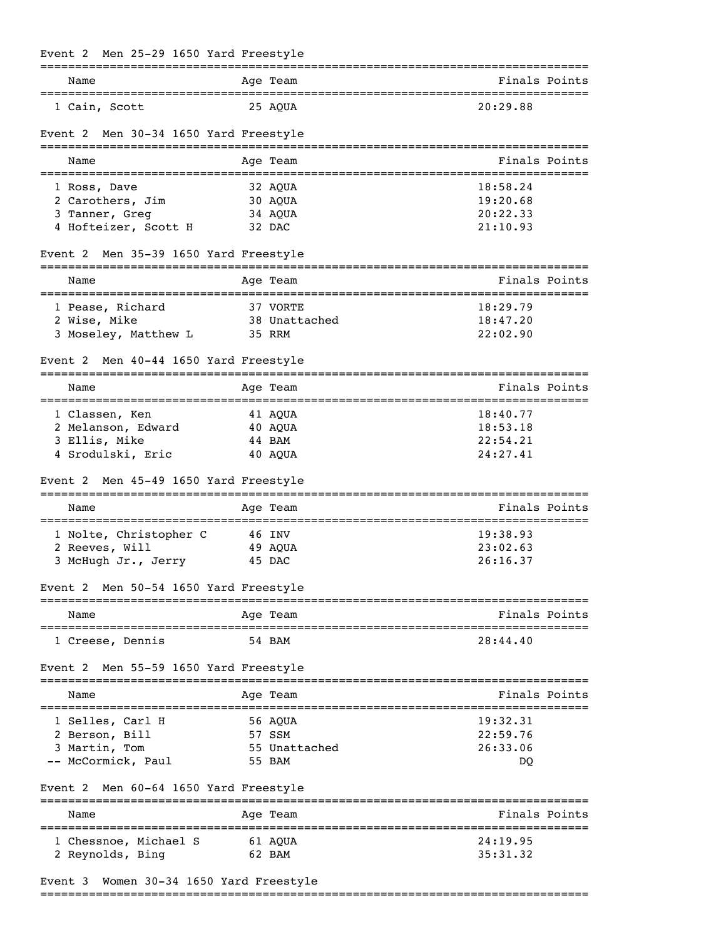|  |  |  | Event 2 Men 25-29 1650 Yard Freestyle |
|--|--|--|---------------------------------------|

| Name                                     | Age Team        | Finals Points |
|------------------------------------------|-----------------|---------------|
| 1 Cain, Scott                            | 25 AOUA         | 20:29.88      |
| Event 2 Men 30-34 1650 Yard Freestyle    |                 |               |
| Name                                     | Age Team        | Finals Points |
| 1 Ross, Dave                             | 32 AQUA         | 18:58.24      |
| 2 Carothers, Jim                         | 30 AOUA         | 19:20.68      |
| 3 Tanner, Greg                           | 34 AQUA         | 20:22.33      |
| 4 Hofteizer, Scott H 32 DAC              |                 | 21:10.93      |
| Event 2 Men 35-39 1650 Yard Freestyle    |                 |               |
| Name                                     | Age Team        | Finals Points |
| 1 Pease, Richard                         | 37 VORTE        | 18:29.79      |
| 2 Wise, Mike                             | 38 Unattached   | 18:47.20      |
| 3 Moseley, Matthew L                     | 35 RRM          | 22:02.90      |
| Men 40-44 1650 Yard Freestyle<br>Event 2 | =============== |               |
| Name                                     | Age Team        | Finals Points |
| 1 Classen, Ken                           | 41 AQUA         | 18:40.77      |
| 2 Melanson, Edward                       | 40 AQUA         | 18:53.18      |
| 3 Ellis, Mike                            | 44 BAM          | 22:54.21      |
| 4 Srodulski, Eric                        | 40 AQUA         | 24:27.41      |
| Event 2 Men 45-49 1650 Yard Freestyle    |                 |               |
| Name                                     | Age Team        | Finals Points |
| 1 Nolte, Christopher C                   | 46 INV          | 19:38.93      |
| 2 Reeves, Will                           | 49 AQUA         | 23:02.63      |
| 3 McHugh Jr., Jerry 45 DAC               |                 | 26:16.37      |
| Event 2 Men 50-54 1650 Yard Freestyle    |                 |               |
| Name                                     | Age Team        | Finals Points |
| 1 Creese, Dennis                         | 54 BAM          | 28:44.40      |
| Event 2 Men 55-59 1650 Yard Freestyle    |                 |               |
| Name                                     | Age Team        | Finals Points |
| 1 Selles, Carl H                         | 56 AQUA         | 19:32.31      |
| 2 Berson, Bill                           | 57 SSM          | 22:59.76      |
| 3 Martin, Tom                            | 55 Unattached   | 26:33.06      |
| -- McCormick, Paul                       | 55 BAM          | DQ            |
| Event 2 Men 60-64 1650 Yard Freestyle    |                 |               |
| Name                                     | Age Team        | Finals Points |
| 1 Chessnoe, Michael S                    | 61 AQUA         | 24:19.95      |
| 2 Reynolds, Bing                         | 62 BAM          | 35:31.32      |
|                                          |                 |               |
| Event 3 Women 30-34 1650 Yard Freestyle  |                 |               |

## ===============================================================================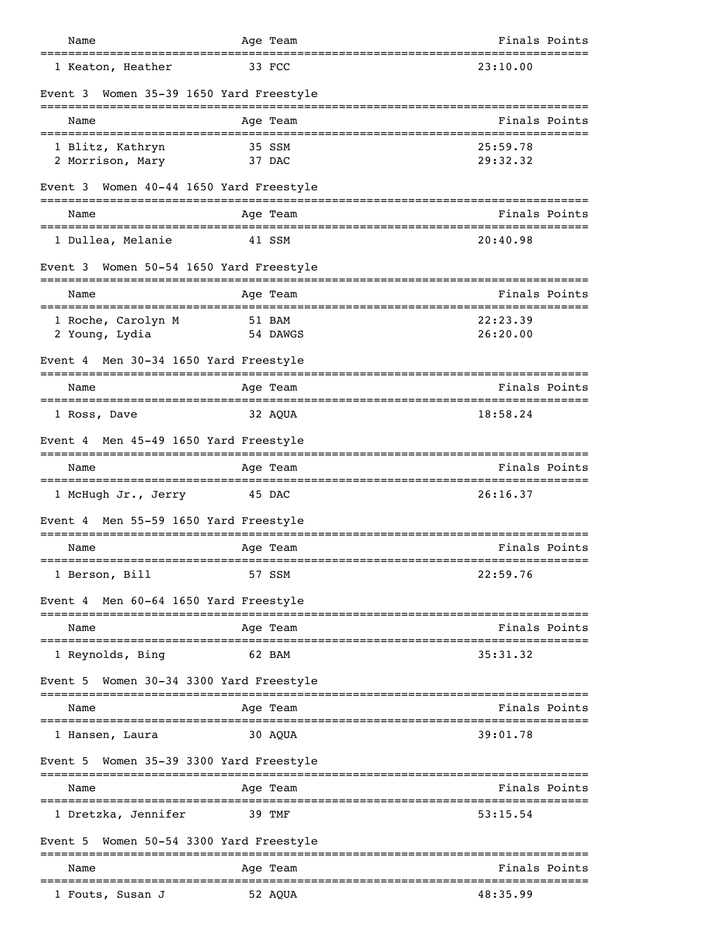| Name                                                       | Age Team                        | Finals Points                                   |
|------------------------------------------------------------|---------------------------------|-------------------------------------------------|
| 1 Keaton, Heather                                          | 33 FCC                          | 23:10.00                                        |
| Event 3<br>--------------------------------------          | Women 35-39 1650 Yard Freestyle |                                                 |
| Name                                                       | Age Team                        | Finals Points                                   |
| 1 Blitz, Kathryn<br>2 Morrison, Mary                       | 35 SSM<br>37 DAC                | 25:59.78<br>29:32.32                            |
| Event 3 Women 40-44 1650 Yard Freestyle                    |                                 |                                                 |
| Name                                                       | Age Team                        | Finals Points                                   |
| 1 Dullea, Melanie                                          | 41 SSM                          | 20:40.98                                        |
| Event 3 Women 50-54 1650 Yard Freestyle                    |                                 |                                                 |
| Name                                                       | Age Team<br>----------          | Finals Points                                   |
| 1 Roche, Carolyn M<br>2 Young, Lydia                       | 51 BAM<br>54 DAWGS              | 22:23.39<br>26:20.00                            |
| Event 4 Men 30-34 1650 Yard Freestyle                      |                                 |                                                 |
| Name                                                       | Age Team                        | Finals Points                                   |
| 1 Ross, Dave                                               | 32 AQUA                         | 18:58.24                                        |
| Event 4 Men 45-49 1650 Yard Freestyle                      |                                 |                                                 |
| Name                                                       | Age Team                        | Finals Points                                   |
| =================================<br>1 McHugh Jr., Jerry   | 45 DAC                          | ===================================<br>26:16.37 |
| Event 4                                                    | Men 55-59 1650 Yard Freestyle   |                                                 |
| Name                                                       | Age Team                        | Finals Points                                   |
| 1 Berson, Bill                                             | 57 SSM                          | 22:59.76                                        |
| Event 4 Men 60-64 1650 Yard Freestyle                      |                                 |                                                 |
| Name                                                       | Age Team                        | Finals Points                                   |
| --------------------------------------<br>1 Reynolds, Bing | 62 BAM                          | 35:31.32                                        |
| Event 5                                                    | Women 30-34 3300 Yard Freestyle |                                                 |
| Name                                                       | Aqe Team                        | Finals Points                                   |
| l Hansen, Laura                                            | 30 AQUA                         | 39:01.78                                        |
| Event 5 Women 35-39 3300 Yard Freestyle                    |                                 |                                                 |
| Name                                                       | Age Team                        | Finals Points                                   |
| 1 Dretzka, Jennifer                                        | 39 TMF                          | ---------<br>53:15.54                           |
| Event 5                                                    | Women 50-54 3300 Yard Freestyle |                                                 |
| Name                                                       | ---------------<br>Age Team     | Finals Points                                   |
| 1 Fouts, Susan J                                           | 52 AQUA                         | 48:35.99                                        |